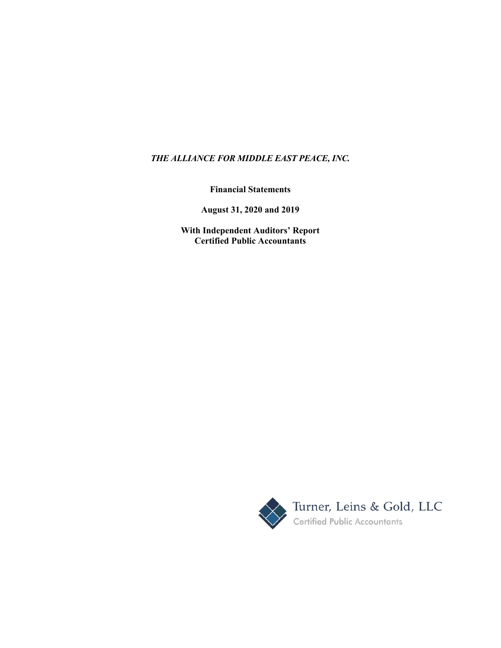### *THE ALLIANCE FOR MIDDLE EAST PEACE, INC.*

**Financial Statements**

**August 31, 2020 and 2019**

**With Independent Auditors' Report Certified Public Accountants**

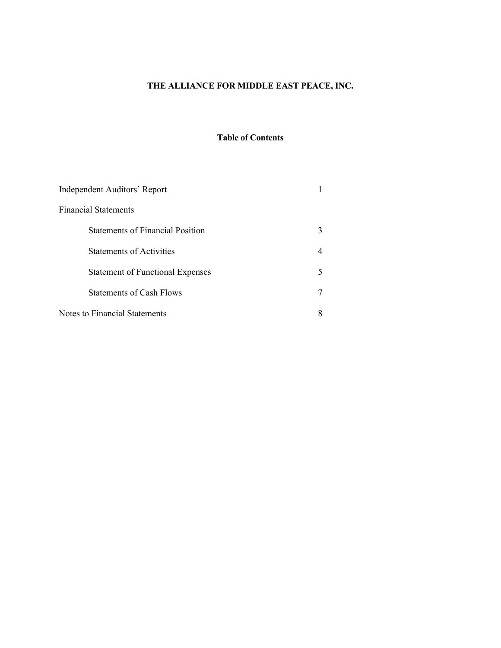# **THE ALLIANCE FOR MIDDLE EAST PEACE, INC.**

# **Table of Contents**

| Independent Auditors' Report            |  |  |  |  |  |
|-----------------------------------------|--|--|--|--|--|
| <b>Financial Statements</b>             |  |  |  |  |  |
| <b>Statements of Financial Position</b> |  |  |  |  |  |
| <b>Statements of Activities</b>         |  |  |  |  |  |
| <b>Statement of Functional Expenses</b> |  |  |  |  |  |
| Statements of Cash Flows                |  |  |  |  |  |
| Notes to Financial Statements           |  |  |  |  |  |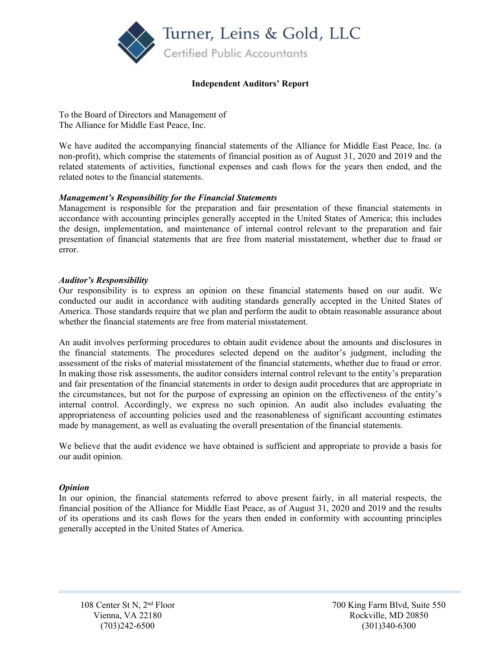

#### **Independent Auditors' Report**

To the Board of Directors and Management of The Alliance for Middle East Peace, Inc.

We have audited the accompanying financial statements of the Alliance for Middle East Peace, Inc. (a non-profit), which comprise the statements of financial position as of August 31, 2020 and 2019 and the related statements of activities, functional expenses and cash flows for the years then ended, and the related notes to the financial statements.

#### *Management's Responsibility for the Financial Statements*

Management is responsible for the preparation and fair presentation of these financial statements in accordance with accounting principles generally accepted in the United States of America; this includes the design, implementation, and maintenance of internal control relevant to the preparation and fair presentation of financial statements that are free from material misstatement, whether due to fraud or error.

#### *Auditor's Responsibility*

Our responsibility is to express an opinion on these financial statements based on our audit. We conducted our audit in accordance with auditing standards generally accepted in the United States of America. Those standards require that we plan and perform the audit to obtain reasonable assurance about whether the financial statements are free from material misstatement.

An audit involves performing procedures to obtain audit evidence about the amounts and disclosures in the financial statements. The procedures selected depend on the auditor's judgment, including the assessment of the risks of material misstatement of the financial statements, whether due to fraud or error. In making those risk assessments, the auditor considers internal control relevant to the entity's preparation and fair presentation of the financial statements in order to design audit procedures that are appropriate in the circumstances, but not for the purpose of expressing an opinion on the effectiveness of the entity's internal control. Accordingly, we express no such opinion. An audit also includes evaluating the appropriateness of accounting policies used and the reasonableness of significant accounting estimates made by management, as well as evaluating the overall presentation of the financial statements.

We believe that the audit evidence we have obtained is sufficient and appropriate to provide a basis for our audit opinion.

#### *Opinion*

In our opinion, the financial statements referred to above present fairly, in all material respects, the financial position of the Alliance for Middle East Peace, as of August 31, 2020 and 2019 and the results of its operations and its cash flows for the years then ended in conformity with accounting principles generally accepted in the United States of America.

108 Center St N, 2nd Floor  $V$ ios Center St N,  $\angle$  Thoon<br>Vienna, VA 22180 (703)242-6500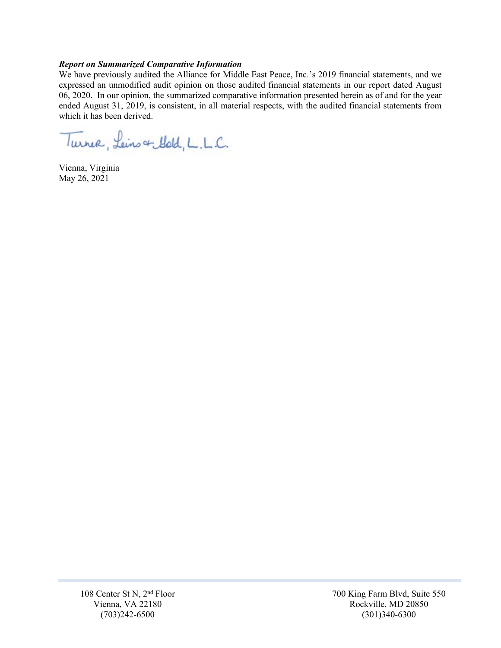#### *Report on Summarized Comparative Information*

We have previously audited the Alliance for Middle East Peace, Inc.'s 2019 financial statements, and we expressed an unmodified audit opinion on those audited financial statements in our report dated August 06, 2020. In our opinion, the summarized comparative information presented herein as of and for the year ended August 31, 2019, is consistent, in all material respects, with the audited financial statements from which it has been derived.

Turner, Leins at Gold, L.L.C.

Vienna, Virginia May 26, 2021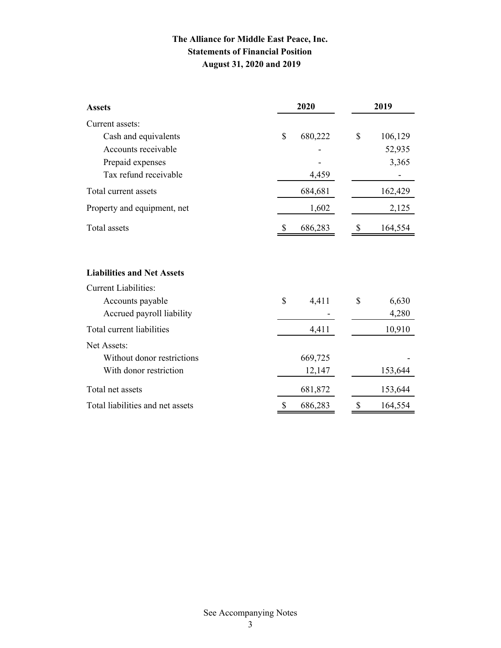# **The Alliance for Middle East Peace, Inc. Statements of Financial Position August 31, 2020 and 2019**

| 2020<br><b>Assets</b>                           |          |         | 2019 |         |  |  |  |
|-------------------------------------------------|----------|---------|------|---------|--|--|--|
| Current assets:                                 |          |         |      |         |  |  |  |
| Cash and equivalents                            | \$       | 680,222 | \$   | 106,129 |  |  |  |
| Accounts receivable                             |          |         |      | 52,935  |  |  |  |
| Prepaid expenses                                |          |         |      | 3,365   |  |  |  |
| Tax refund receivable                           |          | 4,459   |      |         |  |  |  |
| Total current assets                            |          | 684,681 |      | 162,429 |  |  |  |
| Property and equipment, net                     |          | 1,602   |      | 2,125   |  |  |  |
| Total assets                                    | <b>S</b> | 686,283 | S    | 164,554 |  |  |  |
| <b>Liabilities and Net Assets</b>               |          |         |      |         |  |  |  |
|                                                 |          |         |      |         |  |  |  |
| <b>Current Liabilities:</b><br>Accounts payable | \$       | 4,411   | \$   | 6,630   |  |  |  |
| Accrued payroll liability                       |          |         |      | 4,280   |  |  |  |
| Total current liabilities                       |          | 4,411   |      | 10,910  |  |  |  |
| Net Assets:                                     |          |         |      |         |  |  |  |
| Without donor restrictions                      |          | 669,725 |      |         |  |  |  |
| With donor restriction                          |          | 12,147  |      | 153,644 |  |  |  |
| Total net assets                                |          | 681,872 |      | 153,644 |  |  |  |
| Total liabilities and net assets                | \$       | 686,283 | \$   | 164,554 |  |  |  |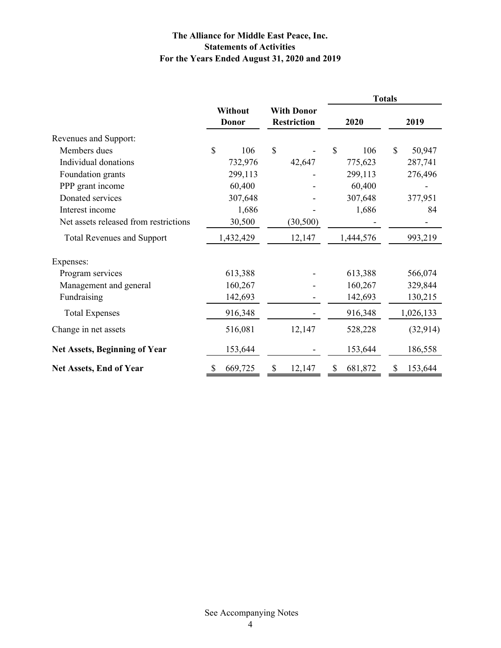## **The Alliance for Middle East Peace, Inc. Statements of Activities For the Years Ended August 31, 2020 and 2019**

|                                       |                         |                                         |                      | <b>Totals</b>          |
|---------------------------------------|-------------------------|-----------------------------------------|----------------------|------------------------|
|                                       | Without<br><b>Donor</b> | <b>With Donor</b><br><b>Restriction</b> | 2020                 | 2019                   |
| Revenues and Support:                 |                         |                                         |                      |                        |
| Members dues                          | \$<br>106               | $\mathcal{S}$                           | $\mathcal{S}$<br>106 | $\mathbb{S}$<br>50,947 |
| Individual donations                  | 732,976                 | 42,647                                  | 775,623              | 287,741                |
| Foundation grants                     | 299,113                 |                                         | 299,113              | 276,496                |
| PPP grant income                      | 60,400                  |                                         | 60,400               |                        |
| Donated services                      | 307,648                 |                                         | 307,648              | 377,951                |
| Interest income                       | 1,686                   |                                         | 1,686                | 84                     |
| Net assets released from restrictions | 30,500                  | (30, 500)                               |                      |                        |
| <b>Total Revenues and Support</b>     | 1,432,429               | 12,147                                  | 1,444,576            | 993,219                |
| Expenses:                             |                         |                                         |                      |                        |
| Program services                      | 613,388                 |                                         | 613,388              | 566,074                |
| Management and general                | 160,267                 |                                         | 160,267              | 329,844                |
| Fundraising                           | 142,693                 |                                         | 142,693              | 130,215                |
| <b>Total Expenses</b>                 | 916,348                 |                                         | 916,348              | 1,026,133              |
| Change in net assets                  | 516,081                 | 12,147                                  | 528,228              | (32, 914)              |
| <b>Net Assets, Beginning of Year</b>  | 153,644                 |                                         | 153,644              | 186,558                |
| <b>Net Assets, End of Year</b>        | 669,725                 | 12,147<br>\$                            | 681,872<br>\$        | 153,644                |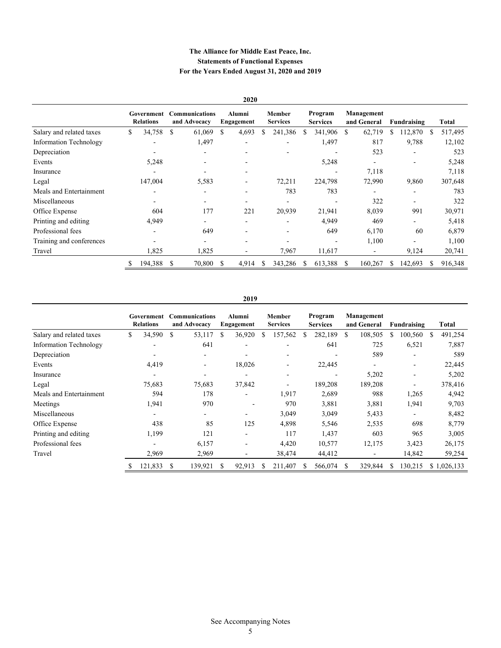#### **The Alliance for Middle East Peace, Inc. Statements of Functional Expenses For the Years Ended August 31, 2020 and 2019**

#### **2020**

|                               | Government               | <b>Communications</b>    |     | Alumni     |                 | Member  |                 | Program                  |             | Management               |             |         |    |              |  |
|-------------------------------|--------------------------|--------------------------|-----|------------|-----------------|---------|-----------------|--------------------------|-------------|--------------------------|-------------|---------|----|--------------|--|
|                               | <b>Relations</b>         | and Advocacy             |     | Engagement | <b>Services</b> |         | <b>Services</b> |                          | and General |                          | Fundraising |         |    | <b>Total</b> |  |
| Salary and related taxes      | \$<br>34,758             | \$<br>61,069             | \$. | 4,693      | S               | 241,386 | S.              | 341,906                  | S           | 62,719                   | S           | 112,870 | -8 | 517,495      |  |
| <b>Information Technology</b> | $\overline{\phantom{0}}$ | 1,497                    |     |            |                 |         |                 | 1,497                    |             | 817                      |             | 9,788   |    | 12,102       |  |
| Depreciation                  |                          |                          |     |            |                 |         |                 |                          |             | 523                      |             |         |    | 523          |  |
| Events                        | 5,248                    |                          |     |            |                 |         |                 | 5,248                    |             |                          |             |         |    | 5,248        |  |
| Insurance                     | $\overline{\phantom{0}}$ | $\overline{\phantom{0}}$ |     |            |                 |         |                 | $\overline{\phantom{a}}$ |             | 7,118                    |             |         |    | 7,118        |  |
| Legal                         | 147,004                  | 5,583                    |     |            |                 | 72,211  |                 | 224,798                  |             | 72,990                   |             | 9,860   |    | 307,648      |  |
| Meals and Entertainment       |                          |                          |     |            |                 | 783     |                 | 783                      |             |                          |             |         |    | 783          |  |
| Miscellaneous                 | -                        |                          |     | -          |                 | -       |                 |                          |             | 322                      |             |         |    | 322          |  |
| Office Expense                | 604                      | 177                      |     | 221        |                 | 20,939  |                 | 21,941                   |             | 8,039                    |             | 991     |    | 30,971       |  |
| Printing and editing          | 4,949                    |                          |     |            |                 |         |                 | 4,949                    |             | 469                      |             | -       |    | 5,418        |  |
| Professional fees             |                          | 649                      |     |            |                 |         |                 | 649                      |             | 6,170                    |             | 60      |    | 6,879        |  |
| Training and conferences      |                          |                          |     |            |                 |         |                 | $\overline{\phantom{0}}$ |             | 1,100                    |             |         |    | 1,100        |  |
| Travel                        | 1,825                    | 1,825                    |     |            |                 | 7,967   |                 | 11,617                   |             | $\overline{\phantom{a}}$ |             | 9,124   |    | 20,741       |  |
|                               | \$<br>194,388            | 70,800                   | S   | 4,914      | \$.             | 343,286 | S               | 613,388                  | S           | 160,267                  |             | 142,693 |    | 916,348      |  |

#### **2019**

|                               | Government<br><b>Relations</b> | Communications<br>and Advocacy |   | Alumni<br>Engagement     |     | Member<br><b>Services</b> |    | Program<br><b>Services</b> |    | Management<br>and General | Fundraising |    | Total       |
|-------------------------------|--------------------------------|--------------------------------|---|--------------------------|-----|---------------------------|----|----------------------------|----|---------------------------|-------------|----|-------------|
| Salary and related taxes      | \$<br>34,590                   | \$<br>53,117                   | S | 36,920                   | \$. | 157,562                   | S. | 282,189                    | \$ | 108,505                   | 100,560     | -S | 491,254     |
| <b>Information Technology</b> |                                | 641                            |   | $\overline{\phantom{0}}$ |     | -                         |    | 641                        |    | 725                       | 6,521       |    | 7,887       |
| Depreciation                  |                                |                                |   |                          |     |                           |    |                            |    | 589                       |             |    | 589         |
| Events                        | 4,419                          | $\overline{\phantom{a}}$       |   | 18,026                   |     | -                         |    | 22,445                     |    | $\overline{\phantom{a}}$  | -           |    | 22,445      |
| Insurance                     |                                |                                |   |                          |     | -                         |    |                            |    | 5,202                     | -           |    | 5,202       |
| Legal                         | 75,683                         | 75,683                         |   | 37,842                   |     |                           |    | 189,208                    |    | 189,208                   |             |    | 378,416     |
| Meals and Entertainment       | 594                            | 178                            |   |                          |     | 1,917                     |    | 2,689                      |    | 988                       | 1,265       |    | 4,942       |
| Meetings                      | 1,941                          | 970                            |   | $\overline{\phantom{0}}$ |     | 970                       |    | 3,881                      |    | 3,881                     | 1,941       |    | 9,703       |
| Miscellaneous                 |                                |                                |   |                          |     | 3,049                     |    | 3,049                      |    | 5,433                     | -           |    | 8,482       |
| Office Expense                | 438                            | 85                             |   | 125                      |     | 4,898                     |    | 5,546                      |    | 2,535                     | 698         |    | 8,779       |
| Printing and editing          | 1,199                          | 121                            |   | $\overline{\phantom{a}}$ |     | 117                       |    | 1,437                      |    | 603                       | 965         |    | 3,005       |
| Professional fees             |                                | 6,157                          |   |                          |     | 4,420                     |    | 10,577                     |    | 12,175                    | 3,423       |    | 26,175      |
| Travel                        | 2,969                          | 2,969                          |   |                          |     | 38,474                    |    | 44,412                     |    | -                         | 14,842      |    | 59,254      |
|                               | 121,833                        | 139,921                        | S | 92,913                   |     | 211,407                   |    | 566,074                    | S  | 329,844                   | 130,215     |    | \$1,026,133 |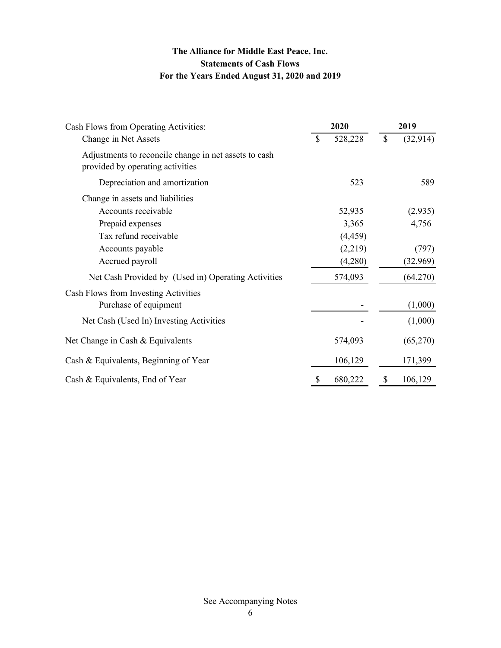# **The Alliance for Middle East Peace, Inc. Statements of Cash Flows For the Years Ended August 31, 2020 and 2019**

| Cash Flows from Operating Activities:                                                     |               | 2020     | 2019            |
|-------------------------------------------------------------------------------------------|---------------|----------|-----------------|
| Change in Net Assets                                                                      | $\mathcal{S}$ | 528,228  | \$<br>(32, 914) |
| Adjustments to reconcile change in net assets to cash<br>provided by operating activities |               |          |                 |
| Depreciation and amortization                                                             |               | 523      | 589             |
| Change in assets and liabilities                                                          |               |          |                 |
| Accounts receivable                                                                       |               | 52,935   | (2,935)         |
| Prepaid expenses                                                                          |               | 3,365    | 4,756           |
| Tax refund receivable                                                                     |               | (4, 459) |                 |
| Accounts payable                                                                          |               | (2,219)  | (797)           |
| Accrued payroll                                                                           |               | (4,280)  | (32,969)        |
| Net Cash Provided by (Used in) Operating Activities                                       |               | 574,093  | (64,270)        |
| Cash Flows from Investing Activities                                                      |               |          |                 |
| Purchase of equipment                                                                     |               |          | (1,000)         |
| Net Cash (Used In) Investing Activities                                                   |               |          | (1,000)         |
| Net Change in Cash & Equivalents                                                          |               | 574,093  | (65,270)        |
| Cash & Equivalents, Beginning of Year                                                     |               | 106,129  | 171,399         |
| Cash & Equivalents, End of Year                                                           |               | 680,222  | \$<br>106,129   |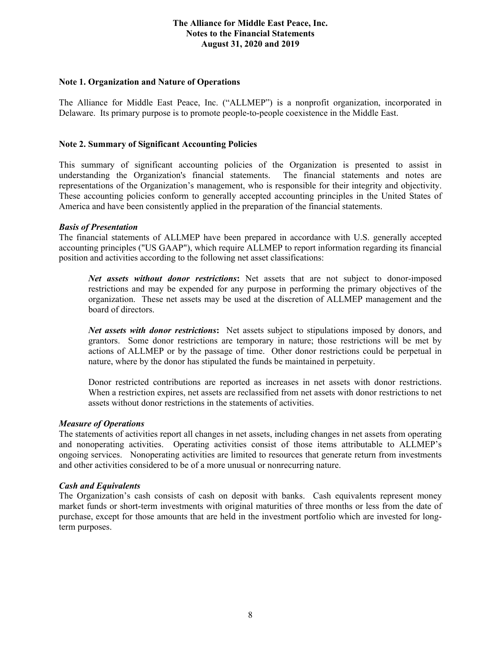#### **Note 1. Organization and Nature of Operations**

The Alliance for Middle East Peace, Inc. ("ALLMEP") is a nonprofit organization, incorporated in Delaware. Its primary purpose is to promote people-to-people coexistence in the Middle East.

#### **Note 2. Summary of Significant Accounting Policies**

This summary of significant accounting policies of the Organization is presented to assist in understanding the Organization's financial statements. The financial statements and notes are understanding the Organization's financial statements. representations of the Organization's management, who is responsible for their integrity and objectivity. These accounting policies conform to generally accepted accounting principles in the United States of America and have been consistently applied in the preparation of the financial statements.

#### *Basis of Presentation*

The financial statements of ALLMEP have been prepared in accordance with U.S. generally accepted accounting principles ("US GAAP"), which require ALLMEP to report information regarding its financial position and activities according to the following net asset classifications:

*Net assets without donor restrictions***:** Net assets that are not subject to donor-imposed restrictions and may be expended for any purpose in performing the primary objectives of the organization. These net assets may be used at the discretion of ALLMEP management and the board of directors.

*Net assets with donor restrictions***:** Net assets subject to stipulations imposed by donors, and grantors. Some donor restrictions are temporary in nature; those restrictions will be met by actions of ALLMEP or by the passage of time. Other donor restrictions could be perpetual in nature, where by the donor has stipulated the funds be maintained in perpetuity.

Donor restricted contributions are reported as increases in net assets with donor restrictions. When a restriction expires, net assets are reclassified from net assets with donor restrictions to net assets without donor restrictions in the statements of activities.

#### *Measure of Operations*

The statements of activities report all changes in net assets, including changes in net assets from operating and nonoperating activities. Operating activities consist of those items attributable to ALLMEP's ongoing services. Nonoperating activities are limited to resources that generate return from investments and other activities considered to be of a more unusual or nonrecurring nature.

#### *Cash and Equivalents*

The Organization's cash consists of cash on deposit with banks. Cash equivalents represent money market funds or short-term investments with original maturities of three months or less from the date of purchase, except for those amounts that are held in the investment portfolio which are invested for longterm purposes.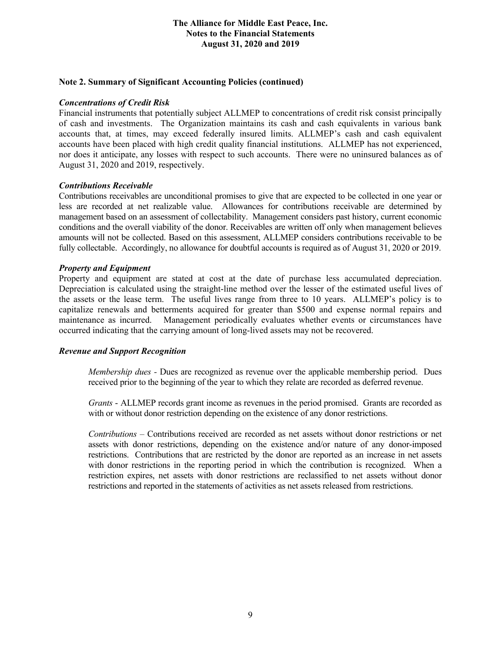#### **Note 2. Summary of Significant Accounting Policies (continued)**

#### *Concentrations of Credit Risk*

Financial instruments that potentially subject ALLMEP to concentrations of credit risk consist principally of cash and investments. The Organization maintains its cash and cash equivalents in various bank accounts that, at times, may exceed federally insured limits. ALLMEP's cash and cash equivalent accounts have been placed with high credit quality financial institutions. ALLMEP has not experienced, nor does it anticipate, any losses with respect to such accounts. There were no uninsured balances as of August 31, 2020 and 2019, respectively.

#### *Contributions Receivable*

Contributions receivables are unconditional promises to give that are expected to be collected in one year or less are recorded at net realizable value. Allowances for contributions receivable are determined by management based on an assessment of collectability. Management considers past history, current economic conditions and the overall viability of the donor. Receivables are written off only when management believes amounts will not be collected. Based on this assessment, ALLMEP considers contributions receivable to be fully collectable. Accordingly, no allowance for doubtful accounts is required as of August 31, 2020 or 2019.

#### *Property and Equipment*

Property and equipment are stated at cost at the date of purchase less accumulated depreciation. Depreciation is calculated using the straight-line method over the lesser of the estimated useful lives of the assets or the lease term. The useful lives range from three to 10 years. ALLMEP's policy is to capitalize renewals and betterments acquired for greater than \$500 and expense normal repairs and maintenance as incurred. Management periodically evaluates whether events or circumstances have occurred indicating that the carrying amount of long-lived assets may not be recovered.

#### *Revenue and Support Recognition*

*Membership dues -* Dues are recognized as revenue over the applicable membership period. Dues received prior to the beginning of the year to which they relate are recorded as deferred revenue.

*Grants* - ALLMEP records grant income as revenues in the period promised. Grants are recorded as with or without donor restriction depending on the existence of any donor restrictions.

*Contributions* – Contributions received are recorded as net assets without donor restrictions or net assets with donor restrictions, depending on the existence and/or nature of any donor-imposed restrictions. Contributions that are restricted by the donor are reported as an increase in net assets with donor restrictions in the reporting period in which the contribution is recognized. When a restriction expires, net assets with donor restrictions are reclassified to net assets without donor restrictions and reported in the statements of activities as net assets released from restrictions.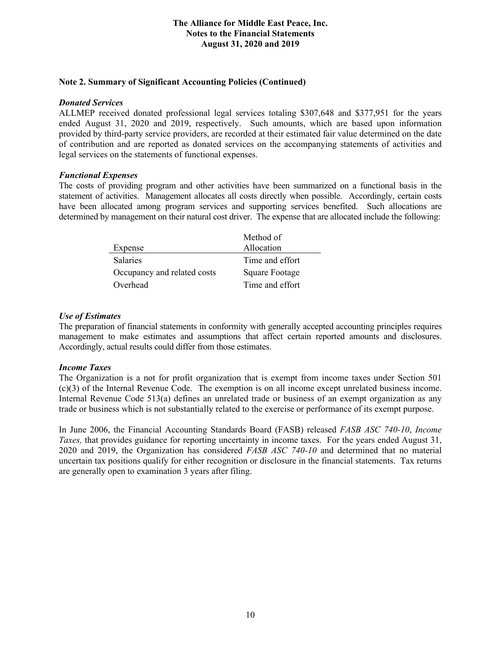#### **Note 2. Summary of Significant Accounting Policies (Continued)**

#### *Donated Services*

ALLMEP received donated professional legal services totaling \$307,648 and \$377,951 for the years ended August 31, 2020 and 2019, respectively. Such amounts, which are based upon information provided by third-party service providers, are recorded at their estimated fair value determined on the date of contribution and are reported as donated services on the accompanying statements of activities and legal services on the statements of functional expenses.

#### *Functional Expenses*

The costs of providing program and other activities have been summarized on a functional basis in the statement of activities. Management allocates all costs directly when possible. Accordingly, certain costs have been allocated among program services and supporting services benefited. Such allocations are determined by management on their natural cost driver. The expense that are allocated include the following:

|                             | Method of       |
|-----------------------------|-----------------|
| Expense                     | Allocation      |
| <b>Salaries</b>             | Time and effort |
| Occupancy and related costs | Square Footage  |
| Overhead                    | Time and effort |

### *Use of Estimates*

The preparation of financial statements in conformity with generally accepted accounting principles requires management to make estimates and assumptions that affect certain reported amounts and disclosures. Accordingly, actual results could differ from those estimates.

#### *Income Taxes*

The Organization is a not for profit organization that is exempt from income taxes under Section 501 (c)(3) of the Internal Revenue Code. The exemption is on all income except unrelated business income. Internal Revenue Code 513(a) defines an unrelated trade or business of an exempt organization as any trade or business which is not substantially related to the exercise or performance of its exempt purpose.

In June 2006, the Financial Accounting Standards Board (FASB) released *FASB ASC 740-10*, *Income Taxes,* that provides guidance for reporting uncertainty in income taxes. For the years ended August 31, 2020 and 2019, the Organization has considered *FASB ASC 740-10* and determined that no material uncertain tax positions qualify for either recognition or disclosure in the financial statements. Tax returns are generally open to examination 3 years after filing.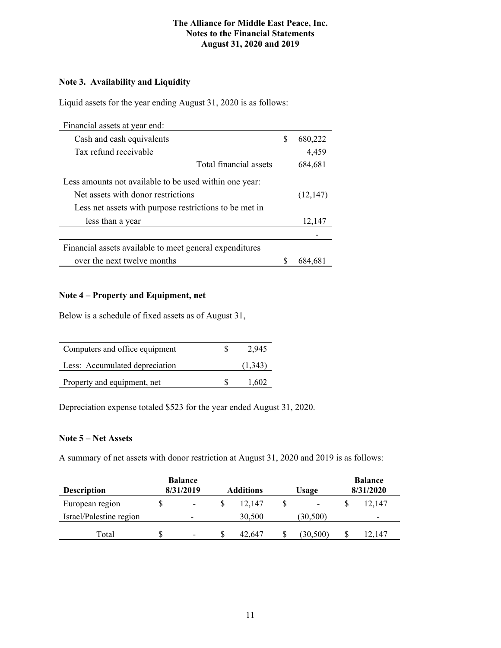## **Note 3. Availability and Liquidity**

Liquid assets for the year ending August 31, 2020 is as follows:

| Financial assets at year end:                           |               |
|---------------------------------------------------------|---------------|
| Cash and cash equivalents                               | \$<br>680,222 |
| Tax refund receivable                                   | 4,459         |
| Total financial assets                                  | 684,681       |
| Less amounts not available to be used within one year:  |               |
| Net assets with donor restrictions                      | (12, 147)     |
| Less net assets with purpose restrictions to be met in  |               |
| less than a year                                        | 12,147        |
|                                                         |               |
| Financial assets available to meet general expenditures |               |
| over the next twelve months                             | 684.681       |

#### **Note 4 – Property and Equipment, net**

Below is a schedule of fixed assets as of August 31,

| Computers and office equipment | 2.945   |
|--------------------------------|---------|
| Less: Accumulated depreciation | (1,343) |
| Property and equipment, net    | 1,602   |

Depreciation expense totaled \$523 for the year ended August 31, 2020.

### **Note 5 – Net Assets**

A summary of net assets with donor restriction at August 31, 2020 and 2019 is as follows:

| <b>Description</b>      |    | <b>Balance</b><br>8/31/2019 | <b>Additions</b> | Usage |           | <b>Balance</b><br>8/31/2020 |
|-------------------------|----|-----------------------------|------------------|-------|-----------|-----------------------------|
| European region         | \$ | $\sim$                      | 12,147           |       | ٠         | 12.147                      |
| Israel/Palestine region |    | $\overline{\phantom{0}}$    | 30,500           |       | (30, 500) | $\overline{\phantom{0}}$    |
| Total                   | S  | $\overline{\phantom{a}}$    | 42,647           |       | (30, 500) | 12.147                      |